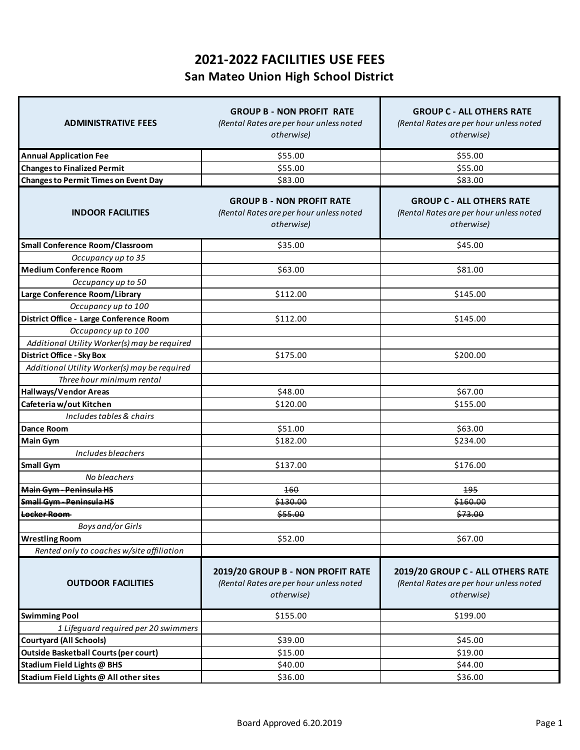## **2021-2022 FACILITIES USE FEES San Mateo Union High School District**

| <b>ADMINISTRATIVE FEES</b>                   | <b>GROUP B - NON PROFIT RATE</b><br>(Rental Rates are per hour unless noted<br>otherwise)  | <b>GROUP C - ALL OTHERS RATE</b><br>(Rental Rates are per hour unless noted<br>otherwise)  |
|----------------------------------------------|--------------------------------------------------------------------------------------------|--------------------------------------------------------------------------------------------|
| <b>Annual Application Fee</b>                | \$55.00                                                                                    | \$55.00                                                                                    |
| <b>Changes to Finalized Permit</b>           | \$55.00                                                                                    | \$55.00                                                                                    |
| <b>Changes to Permit Times on Event Day</b>  | \$83.00                                                                                    | \$83.00                                                                                    |
| <b>INDOOR FACILITIES</b>                     | <b>GROUP B - NON PROFIT RATE</b><br>(Rental Rates are per hour unless noted<br>otherwise)  | <b>GROUP C - ALL OTHERS RATE</b><br>(Rental Rates are per hour unless noted<br>otherwise)  |
| <b>Small Conference Room/Classroom</b>       | \$35.00                                                                                    | \$45.00                                                                                    |
| Occupancy up to 35                           |                                                                                            |                                                                                            |
| <b>Medium Conference Room</b>                | \$63.00                                                                                    | \$81.00                                                                                    |
| Occupancy up to 50                           |                                                                                            |                                                                                            |
| Large Conference Room/Library                | \$112.00                                                                                   | \$145.00                                                                                   |
| Occupancy up to 100                          |                                                                                            |                                                                                            |
| District Office - Large Conference Room      | \$112.00                                                                                   | \$145.00                                                                                   |
| Occupancy up to 100                          |                                                                                            |                                                                                            |
| Additional Utility Worker(s) may be required |                                                                                            |                                                                                            |
| <b>District Office - Sky Box</b>             | \$175.00                                                                                   | \$200.00                                                                                   |
| Additional Utility Worker(s) may be required |                                                                                            |                                                                                            |
| Three hour minimum rental                    |                                                                                            |                                                                                            |
| <b>Hallways/Vendor Areas</b>                 | \$48.00                                                                                    | \$67.00                                                                                    |
| Cafeteria w/out Kitchen                      | \$120.00                                                                                   | \$155.00                                                                                   |
| Includes tables & chairs                     |                                                                                            |                                                                                            |
| <b>Dance Room</b>                            | \$51.00                                                                                    | \$63.00                                                                                    |
| <b>Main Gym</b>                              | \$182.00                                                                                   | \$234.00                                                                                   |
| Includes bleachers                           |                                                                                            |                                                                                            |
| <b>Small Gym</b>                             | \$137.00                                                                                   | \$176.00                                                                                   |
| No bleachers<br>Main Gym - Peninsula HS      | 460                                                                                        | 195                                                                                        |
| Small Gym - Peninsula HS                     |                                                                                            |                                                                                            |
| Locker Room                                  | \$130.00                                                                                   | \$160.00                                                                                   |
| Boys and/or Girls                            | \$55.00                                                                                    | \$73.00                                                                                    |
| <b>Wrestling Room</b>                        | \$52.00                                                                                    | \$67.00                                                                                    |
| Rented only to coaches w/site affiliation    |                                                                                            |                                                                                            |
|                                              |                                                                                            |                                                                                            |
| <b>OUTDOOR FACILITIES</b>                    | 2019/20 GROUP B - NON PROFIT RATE<br>(Rental Rates are per hour unless noted<br>otherwise) | 2019/20 GROUP C - ALL OTHERS RATE<br>(Rental Rates are per hour unless noted<br>otherwise) |
| <b>Swimming Pool</b>                         | \$155.00                                                                                   | \$199.00                                                                                   |
| 1 Lifeguard required per 20 swimmers         |                                                                                            |                                                                                            |
| <b>Courtyard (All Schools)</b>               | \$39.00                                                                                    | \$45.00                                                                                    |
| <b>Outside Basketball Courts (per court)</b> | \$15.00                                                                                    | \$19.00                                                                                    |
| Stadium Field Lights @ BHS                   | \$40.00                                                                                    | \$44.00                                                                                    |
| Stadium Field Lights @ All other sites       | \$36.00                                                                                    | \$36.00                                                                                    |